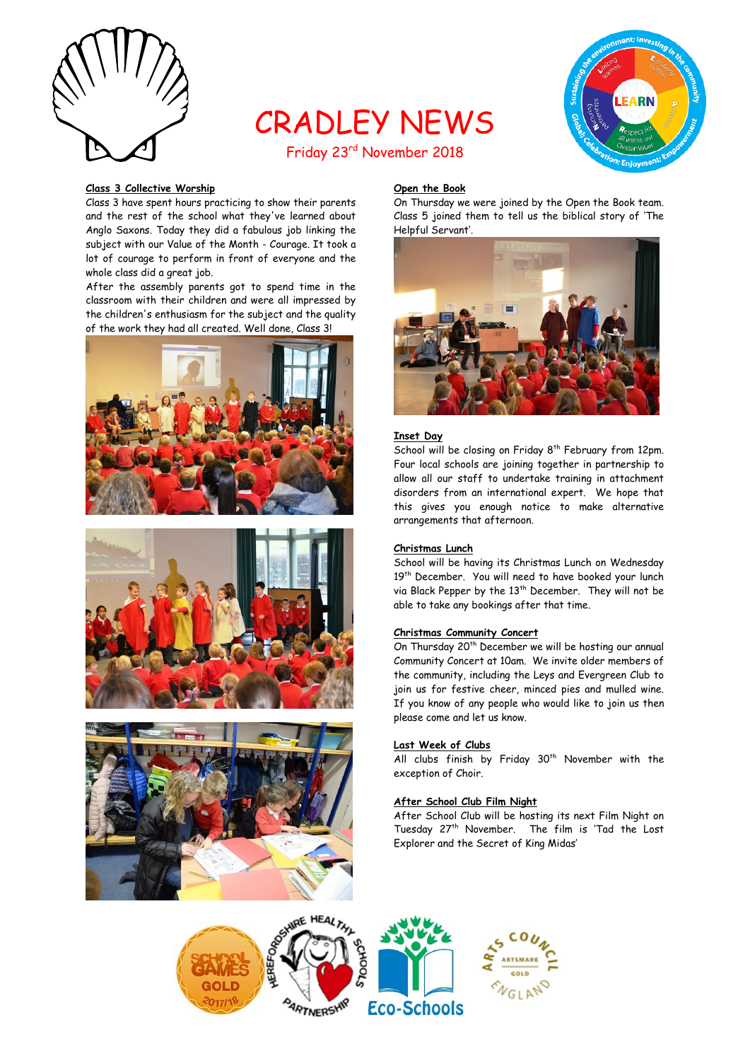

# CRADLEY NEWS Friday 23rd November 2018



#### **Class 3 Collective Worship**

Class 3 have spent hours practicing to show their parents and the rest of the school what they've learned about Anglo Saxons. Today they did a fabulous job linking the subject with our Value of the Month - Courage. It took a lot of courage to perform in front of everyone and the whole class did a great job.

After the assembly parents got to spend time in the classroom with their children and were all impressed by the children's enthusiasm for the subject and the quality of the work they had all created. Well done, Class 3!







# **Open the Book**

On Thursday we were joined by the Open the Book team. Class 5 joined them to tell us the biblical story of 'The Helpful Servant'.



# **Inset Day**

School will be closing on Friday 8<sup>th</sup> February from 12pm. Four local schools are joining together in partnership to allow all our staff to undertake training in attachment disorders from an international expert. We hope that this gives you enough notice to make alternative arrangements that afternoon.

#### **Christmas Lunch**

School will be having its Christmas Lunch on Wednesday 19<sup>th</sup> December. You will need to have booked your lunch via Black Pepper by the 13<sup>th</sup> December. They will not be able to take any bookings after that time.

# **Christmas Community Concert**

On Thursday 20<sup>th</sup> December we will be hosting our annual Community Concert at 10am. We invite older members of the community, including the Leys and Evergreen Club to join us for festive cheer, minced pies and mulled wine. If you know of any people who would like to join us then please come and let us know.

#### **Last Week of Clubs**

All clubs finish by Friday  $30<sup>th</sup>$  November with the exception of Choir.

# **After School Club Film Night**

After School Club will be hosting its next Film Night on Tuesday 27<sup>th</sup> November. The film is 'Tad the Lost Explorer and the Secret of King Midas'

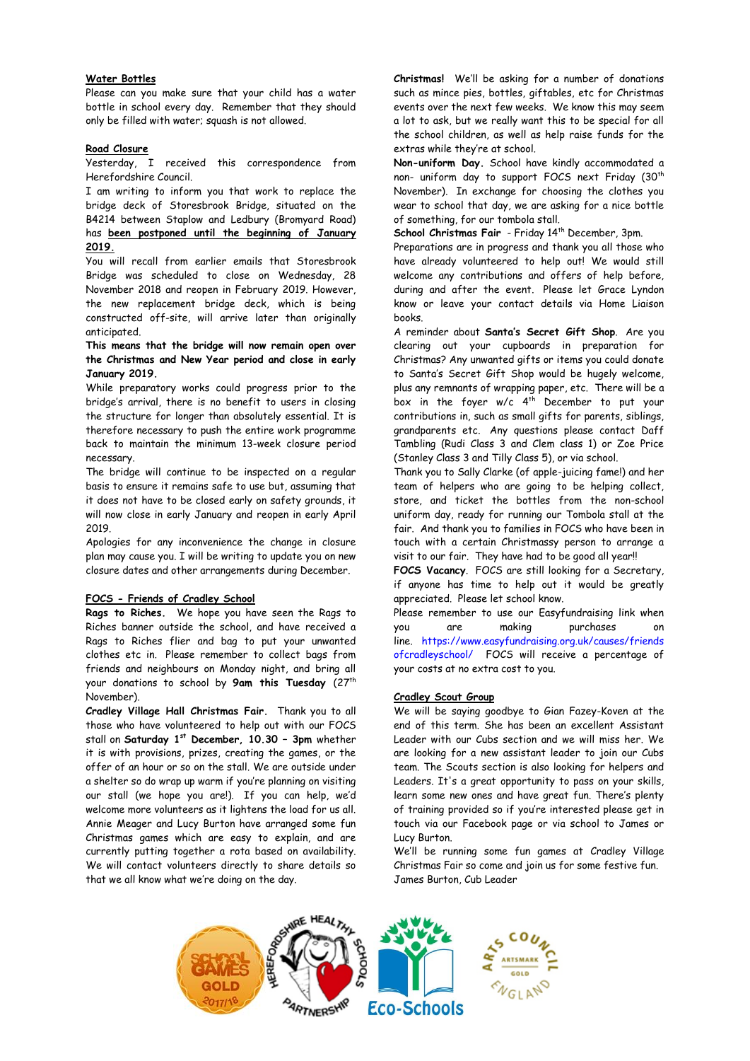# **Water Bottles**

Please can you make sure that your child has a water bottle in school every day. Remember that they should only be filled with water; squash is not allowed.

#### **Road Closure**

Yesterday, I received this correspondence from Herefordshire Council.

I am writing to inform you that work to replace the bridge deck of Storesbrook Bridge, situated on the B4214 between Staplow and Ledbury (Bromyard Road) has **been postponed until the beginning of January 2019.**

You will recall from earlier emails that Storesbrook Bridge was scheduled to close on Wednesday, 28 November 2018 and reopen in February 2019. However, the new replacement bridge deck, which is being constructed off-site, will arrive later than originally anticipated.

**This means that the bridge will now remain open over the Christmas and New Year period and close in early January 2019.** 

While preparatory works could progress prior to the bridge's arrival, there is no benefit to users in closing the structure for longer than absolutely essential. It is therefore necessary to push the entire work programme back to maintain the minimum 13-week closure period necessary.

The bridge will continue to be inspected on a regular basis to ensure it remains safe to use but, assuming that it does not have to be closed early on safety grounds, it will now close in early January and reopen in early April 2019.

Apologies for any inconvenience the change in closure plan may cause you. I will be writing to update you on new closure dates and other arrangements during December.

# **FOCS - Friends of Cradley School**

**Rags to Riches.** We hope you have seen the Rags to Riches banner outside the school, and have received a Rags to Riches flier and bag to put your unwanted clothes etc in. Please remember to collect bags from friends and neighbours on Monday night, and bring all your donations to school by **9am this Tuesday** (27th November).

**Cradley Village Hall Christmas Fair.** Thank you to all those who have volunteered to help out with our FOCS stall on **Saturday 1st December, 10.30 – 3pm** whether it is with provisions, prizes, creating the games, or the offer of an hour or so on the stall. We are outside under a shelter so do wrap up warm if you're planning on visiting our stall (we hope you are!). If you can help, we'd welcome more volunteers as it lightens the load for us all. Annie Meager and Lucy Burton have arranged some fun Christmas games which are easy to explain, and are currently putting together a rota based on availability. We will contact volunteers directly to share details so that we all know what we're doing on the day.

**Christmas!** We'll be asking for a number of donations such as mince pies, bottles, giftables, etc for Christmas events over the next few weeks. We know this may seem a lot to ask, but we really want this to be special for all the school children, as well as help raise funds for the extras while they're at school.

**Non-uniform Day.** School have kindly accommodated a non- uniform day to support FOCS next Friday (30<sup>th</sup> November). In exchange for choosing the clothes you wear to school that day, we are asking for a nice bottle of something, for our tombola stall.

School Christmas Fair - Friday 14<sup>th</sup> December, 3pm.

Preparations are in progress and thank you all those who have already volunteered to help out! We would still welcome any contributions and offers of help before, during and after the event. Please let Grace Lyndon know or leave your contact details via Home Liaison books.

A reminder about **Santa's Secret Gift Shop**. Are you clearing out your cupboards in preparation for Christmas? Any unwanted gifts or items you could donate to Santa's Secret Gift Shop would be hugely welcome, plus any remnants of wrapping paper, etc. There will be a box in the foyer  $w/c$  4<sup>th</sup> December to put your contributions in, such as small gifts for parents, siblings, grandparents etc. Any questions please contact Daff Tambling (Rudi Class 3 and Clem class 1) or Zoe Price (Stanley Class 3 and Tilly Class 5), or via school.

Thank you to Sally Clarke (of apple-juicing fame!) and her team of helpers who are going to be helping collect, store, and ticket the bottles from the non-school uniform day, ready for running our Tombola stall at the fair. And thank you to families in FOCS who have been in touch with a certain Christmassy person to arrange a visit to our fair. They have had to be good all year!!

**FOCS Vacancy**. FOCS are still looking for a Secretary, if anyone has time to help out it would be greatly appreciated. Please let school know.

Please remember to use our Easyfundraising link when you are making purchases on line. [https://www.easyfundraising.org.uk/causes/friends](https://www.easyfundraising.org.uk/causes/friendsofcradleyschool/) [ofcradleyschool/](https://www.easyfundraising.org.uk/causes/friendsofcradleyschool/) FOCS will receive a percentage of your costs at no extra cost to you.

#### **Cradley Scout Group**

We will be saying goodbye to Gian Fazey-Koven at the end of this term. She has been an excellent Assistant Leader with our Cubs section and we will miss her. We are looking for a new assistant leader to join our Cubs team. The Scouts section is also looking for helpers and Leaders. It's a great opportunity to pass on your skills, learn some new ones and have great fun. There's plenty of training provided so if you're interested please get in touch via our Facebook page or via school to James or Lucy Burton.

We'll be running some fun games at Cradley Village Christmas Fair so come and join us for some festive fun. James Burton, Cub Leader

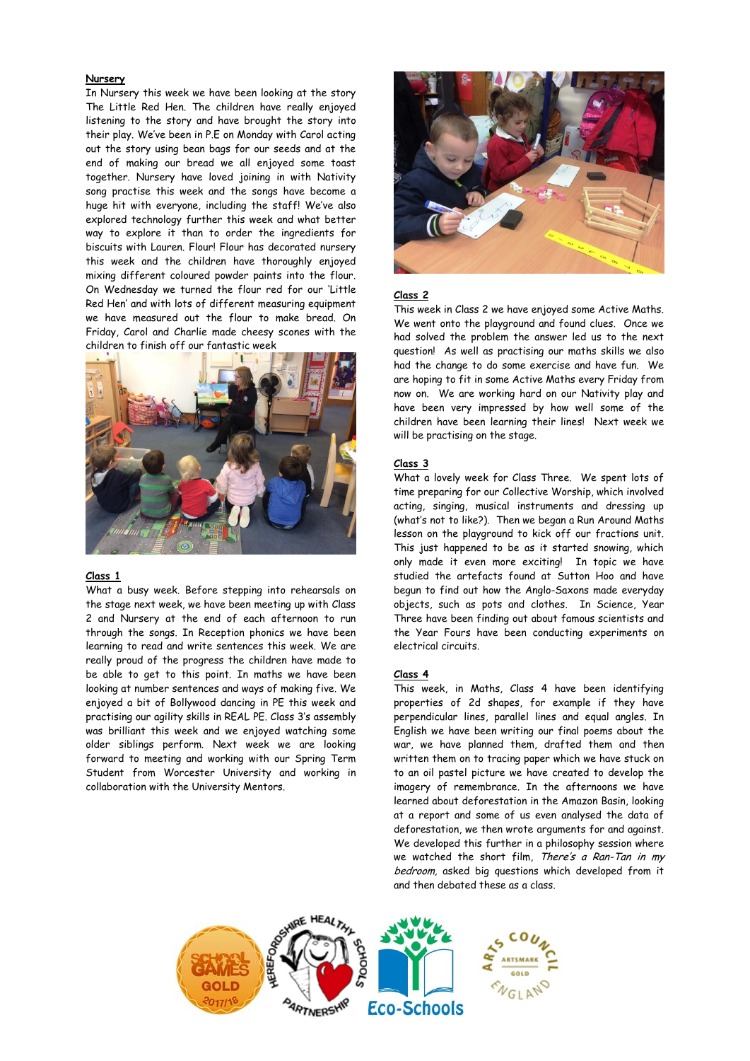## **Nursery**

In Nursery this week we have been looking at the story The Little Red Hen. The children have really enjoyed listening to the story and have brought the story into their play. We've been in P.E on Monday with Carol acting out the story using bean bags for our seeds and at the end of making our bread we all enjoyed some toast together. Nursery have loved joining in with Nativity song practise this week and the songs have become a huge hit with everyone, including the staff! We've also explored technology further this week and what better way to explore it than to order the ingredients for biscuits with Lauren. Flour! Flour has decorated nursery this week and the children have thoroughly enjoyed mixing different coloured powder paints into the flour. On Wednesday we turned the flour red for our 'Little Red Hen' and with lots of different measuring equipment we have measured out the flour to make bread. On Friday, Carol and Charlie made cheesy scones with the children to finish off our fantastic week



#### **Class 1**

What a busy week. Before stepping into rehearsals on the stage next week, we have been meeting up with Class 2 and Nursery at the end of each afternoon to run through the songs. In Reception phonics we have been learning to read and write sentences this week. We are really proud of the progress the children have made to be able to get to this point. In maths we have been looking at number sentences and ways of making five. We enjoyed a bit of Bollywood dancing in PE this week and practising our agility skills in REAL PE. Class 3's assembly was brilliant this week and we enjoyed watching some older siblings perform. Next week we are looking forward to meeting and working with our Spring Term Student from Worcester University and working in collaboration with the University Mentors.



# **Class 2**

This week in Class 2 we have enjoyed some Active Maths. We went onto the playground and found clues. Once we had solved the problem the answer led us to the next question! As well as practising our maths skills we also had the change to do some exercise and have fun. We are hoping to fit in some Active Maths every Friday from now on. We are working hard on our Nativity play and have been very impressed by how well some of the children have been learning their lines! Next week we will be practising on the stage.

#### **Class 3**

What a lovely week for Class Three. We spent lots of time preparing for our Collective Worship, which involved acting, singing, musical instruments and dressing up (what's not to like?). Then we began a Run Around Maths lesson on the playground to kick off our fractions unit. This just happened to be as it started snowing, which only made it even more exciting! In topic we have studied the artefacts found at Sutton Hoo and have begun to find out how the Anglo-Saxons made everyday objects, such as pots and clothes. In Science, Year Three have been finding out about famous scientists and the Year Fours have been conducting experiments on electrical circuits.

#### **Class 4**

This week, in Maths, Class 4 have been identifying properties of 2d shapes, for example if they have perpendicular lines, parallel lines and equal angles. In English we have been writing our final poems about the war, we have planned them, drafted them and then written them on to tracing paper which we have stuck on to an oil pastel picture we have created to develop the imagery of remembrance. In the afternoons we have learned about deforestation in the Amazon Basin, looking at a report and some of us even analysed the data of deforestation, we then wrote arguments for and against. We developed this further in a philosophy session where we watched the short film, There's a Ran-Tan in my bedroom, asked big questions which developed from it and then debated these as a class.